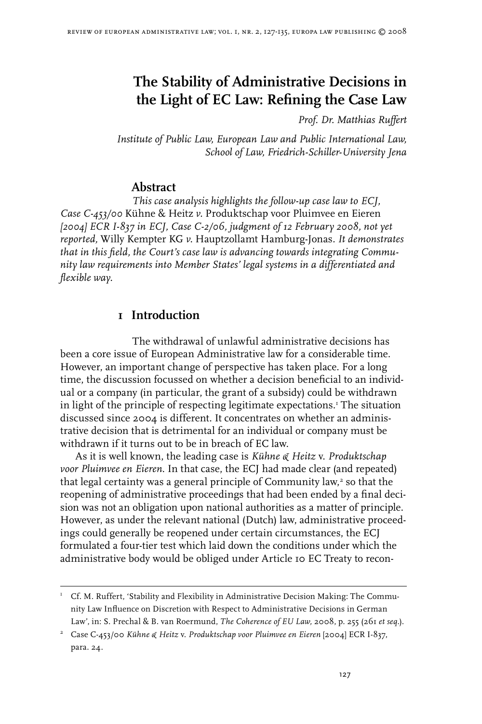# **The Stability of Administrative Decisions in the Light of EC Law: Refining the Case Law**

*Prof. Dr. Matthias Ruffert*

*Institute of Public Law, European Law and Public International Law, School of Law, Friedrich-Schiller-University Jena*

### **Abstract**

*This case analysis highlights the follow-up case law to ECJ, Case C-453/00* Kühne & Heitz *v.* Produktschap voor Pluimvee en Eieren *[2004] ECR I-837 in ECJ, Case C-2/06, judgment of 12 February 2008, not yet reported,* Willy Kempter KG *v.* Hauptzollamt Hamburg-Jonas*. It demonstrates that in this field, the Court's case law is advancing towards integrating Community law requirements into Member States' legal systems in a differentiated and flexible way.*

# **I** Introduction

The withdrawal of unlawful administrative decisions has been a core issue of European Administrative law for a considerable time. However, an important change of perspective has taken place. For a long time, the discussion focussed on whether a decision beneficial to an individual or a company (in particular, the grant of a subsidy) could be withdrawn in light of the principle of respecting legitimate expectations. The situation discussed since 2004 is different. It concentrates on whether an administrative decision that is detrimental for an individual or company must be withdrawn if it turns out to be in breach of EC law.

As it is well known, the leading case is *Kühne & Heitz* v. *Produktschap voor Pluimvee en Eieren*. In that case, the ECJ had made clear (and repeated) that legal certainty was a general principle of Community law, $3$  so that the reopening of administrative proceedings that had been ended by a final decision was not an obligation upon national authorities as a matter of principle. However, as under the relevant national (Dutch) law, administrative proceedings could generally be reopened under certain circumstances, the ECJ formulated a four-tier test which laid down the conditions under which the administrative body would be obliged under Article 10 EC Treaty to recon-

 $U^I$  Cf. M. Ruffert, 'Stability and Flexibility in Administrative Decision Making: The Community Law Influence on Discretion with Respect to Administrative Decisions in German Law', in: S. Prechal & B. van Roermund, *The Coherence of EU Law,* 2008, p. 255 (261 *et seq.*).

Case C-453/00 *Kühne & Heitz* v. *Produktschap voor Pluimvee en Eieren* [2004] ECR I-837, para. 24.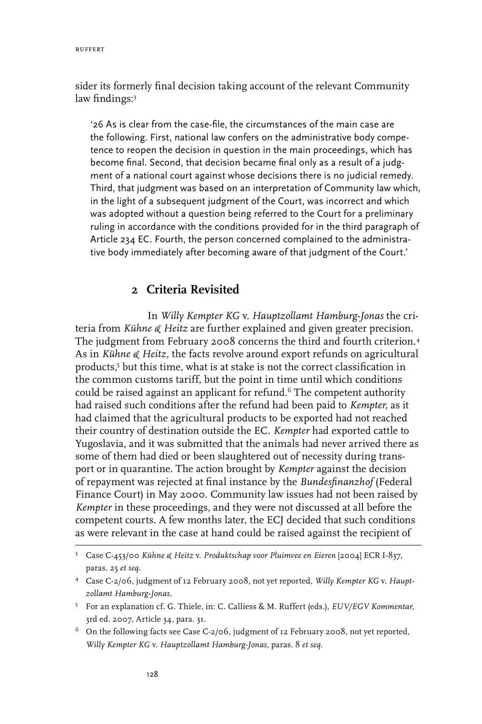sider its formerly final decision taking account of the relevant Community law findings:

'26 As is clear from the case-file, the circumstances of the main case are the following. First, national law confers on the administrative body competence to reopen the decision in question in the main proceedings, which has become final. Second, that decision became final only as a result of a judgment of a national court against whose decisions there is no judicial remedy. Third, that judgment was based on an interpretation of Community law which, in the light of a subsequent judgment of the Court, was incorrect and which was adopted without a question being referred to the Court for a preliminary ruling in accordance with the conditions provided for in the third paragraph of Article 234 EC. Fourth, the person concerned complained to the administrative body immediately after becoming aware of that judgment of the Court.'

### **2 Criteria Revisited**

In *Willy Kempter KG* v. *Hauptzollamt Hamburg-Jonas* the criteria from *Kühne & Heitz* are further explained and given greater precision. The judgment from February 2008 concerns the third and fourth criterion. As in *Kühne & Heitz,* the facts revolve around export refunds on agricultural products,<sup>5</sup> but this time, what is at stake is not the correct classification in the common customs tariff, but the point in time until which conditions could be raised against an applicant for refund.<sup>6</sup> The competent authority had raised such conditions after the refund had been paid to *Kempter,* as it had claimed that the agricultural products to be exported had not reached their country of destination outside the EC. *Kempter* had exported cattle to Yugoslavia, and it was submitted that the animals had never arrived there as some of them had died or been slaughtered out of necessity during transport or in quarantine. The action brought by *Kempter* against the decision of repayment was rejected at final instance by the *Bundesfinanzhof* (Federal Finance Court) in May 2000. Community law issues had not been raised by *Kempter* in these proceedings, and they were not discussed at all before the competent courts. A few months later, the ECJ decided that such conditions as were relevant in the case at hand could be raised against the recipient of

Case C-453/00 *Kühne & Heitz* v. *Produktschap voor Pluimvee en Eieren* [2004] ECR I-837, paras. 25 *et seq.*

Case C-2/06, judgment of 12 February 2008, not yet reported, *Willy Kempter KG* v. *Hauptzollamt Hamburg-Jonas.*

For an explanation cf. G. Thiele, in: C. Calliess & M. Ruffert (eds.), *EUV/EGV Kommentar,*  3rd ed. 2007, Article 34, para. 31.

 $^6$  On the following facts see Case C-2/06, judgment of 12 February 2008, not yet reported, *Willy Kempter KG* v. *Hauptzollamt Hamburg-Jonas,* paras. 8 *et seq.*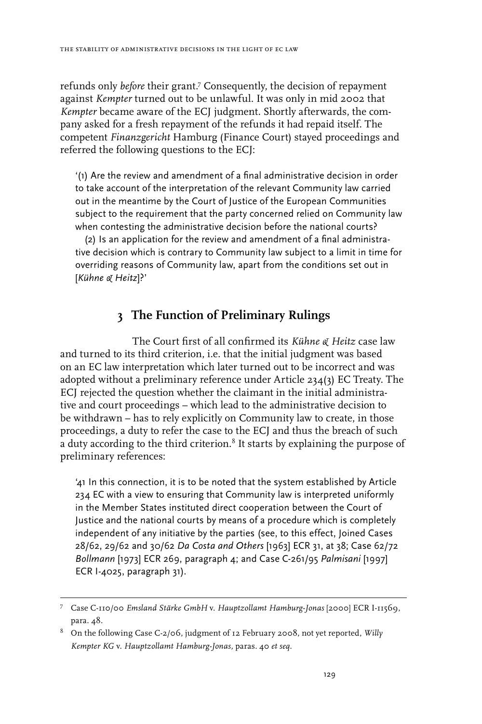refunds only *before* their grant.<sup>7</sup> Consequently, the decision of repayment against *Kempter* turned out to be unlawful. It was only in mid 2002 that *Kempter* became aware of the ECJ judgment. Shortly afterwards, the company asked for a fresh repayment of the refunds it had repaid itself. The competent *Finanzgericht* Hamburg (Finance Court) stayed proceedings and referred the following questions to the ECJ:

'(1) Are the review and amendment of a final administrative decision in order to take account of the interpretation of the relevant Community law carried out in the meantime by the Court of Justice of the European Communities subject to the requirement that the party concerned relied on Community law when contesting the administrative decision before the national courts?

(2) Is an application for the review and amendment of a final administrative decision which is contrary to Community law subject to a limit in time for overriding reasons of Community law, apart from the conditions set out in [*Kühne & Heitz*]?'

# **3 The Function of Preliminary Rulings**

The Court first of all confirmed its *Kühne & Heitz* case law and turned to its third criterion, i.e. that the initial judgment was based on an EC law interpretation which later turned out to be incorrect and was adopted without a preliminary reference under Article  $234(3)$  EC Treaty. The ECJ rejected the question whether the claimant in the initial administrative and court proceedings – which lead to the administrative decision to be withdrawn – has to rely explicitly on Community law to create, in those proceedings, a duty to refer the case to the ECJ and thus the breach of such a duty according to the third criterion.<sup>8</sup> It starts by explaining the purpose of preliminary references:

'41 In this connection, it is to be noted that the system established by Article 234 EC with a view to ensuring that Community law is interpreted uniformly in the Member States instituted direct cooperation between the Court of Justice and the national courts by means of a procedure which is completely independent of any initiative by the parties (see, to this effect, Joined Cases 28/62, 29/62 and 30/62 *Da Costa and Others* [1963] ECR 31, at 38; Case 62/72 *Bollmann* [1973] ECR 269, paragraph 4; and Case C-261/95 *Palmisani* [1997] ECR I-4025, paragraph 31).

Case C-110/00 *Emsland Stärke GmbH* v. *Hauptzollamt Hamburg-Jonas* [2000] ECR I-11569, para. 48.

On the following Case C-2/06, judgment of 12 February 2008, not yet reported, *Willy Kempter KG* v. *Hauptzollamt Hamburg-Jonas,* paras. 40 *et seq.*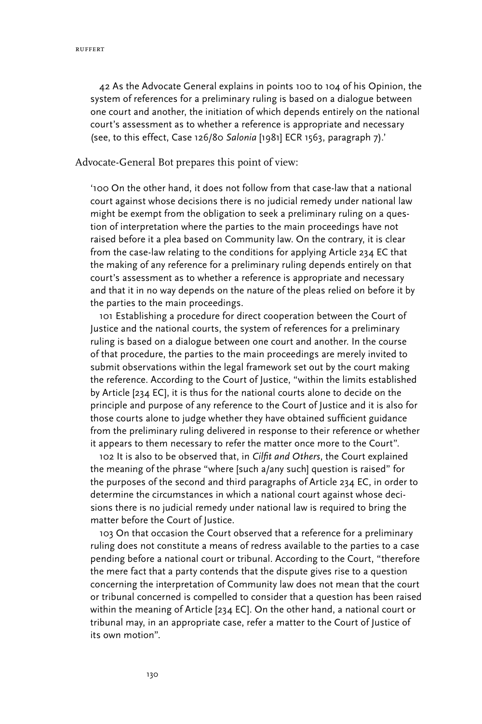42 As the Advocate General explains in points 100 to 104 of his Opinion, the system of references for a preliminary ruling is based on a dialogue between one court and another, the initiation of which depends entirely on the national court's assessment as to whether a reference is appropriate and necessary (see, to this effect, Case 126/80 *Salonia* [1981] ECR 1563, paragraph 7).'

#### Advocate-General Bot prepares this point of view:

'100 On the other hand, it does not follow from that case-law that a national court against whose decisions there is no judicial remedy under national law might be exempt from the obligation to seek a preliminary ruling on a question of interpretation where the parties to the main proceedings have not raised before it a plea based on Community law. On the contrary, it is clear from the case-law relating to the conditions for applying Article 234 EC that the making of any reference for a preliminary ruling depends entirely on that court's assessment as to whether a reference is appropriate and necessary and that it in no way depends on the nature of the pleas relied on before it by the parties to the main proceedings.

101 Establishing a procedure for direct cooperation between the Court of Justice and the national courts, the system of references for a preliminary ruling is based on a dialogue between one court and another. In the course of that procedure, the parties to the main proceedings are merely invited to submit observations within the legal framework set out by the court making the reference. According to the Court of Justice, "within the limits established by Article [234 EC], it is thus for the national courts alone to decide on the principle and purpose of any reference to the Court of Justice and it is also for those courts alone to judge whether they have obtained sufficient guidance from the preliminary ruling delivered in response to their reference or whether it appears to them necessary to refer the matter once more to the Court".

102 It is also to be observed that, in *Cilfit and Others*, the Court explained the meaning of the phrase "where [such a/any such] question is raised" for the purposes of the second and third paragraphs of Article 234 EC, in order to determine the circumstances in which a national court against whose decisions there is no judicial remedy under national law is required to bring the matter before the Court of Justice.

103 On that occasion the Court observed that a reference for a preliminary ruling does not constitute a means of redress available to the parties to a case pending before a national court or tribunal. According to the Court, "therefore the mere fact that a party contends that the dispute gives rise to a question concerning the interpretation of Community law does not mean that the court or tribunal concerned is compelled to consider that a question has been raised within the meaning of Article [234 EC]. On the other hand, a national court or tribunal may, in an appropriate case, refer a matter to the Court of Justice of its own motion".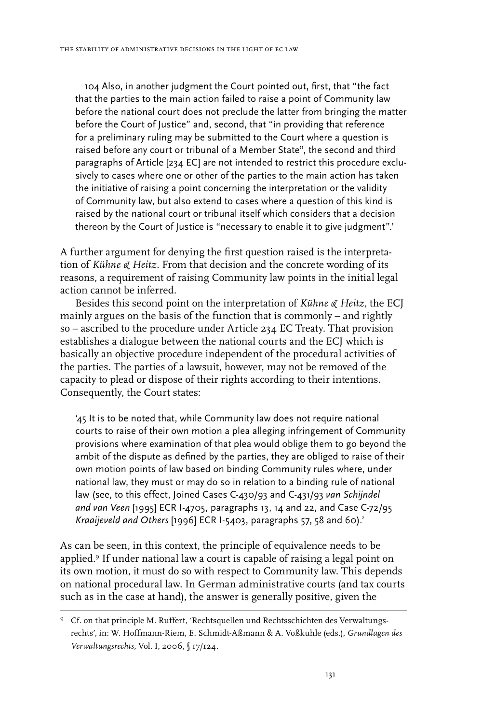104 Also, in another judgment the Court pointed out, first, that "the fact that the parties to the main action failed to raise a point of Community law before the national court does not preclude the latter from bringing the matter before the Court of Justice" and, second, that "in providing that reference for a preliminary ruling may be submitted to the Court where a question is raised before any court or tribunal of a Member State", the second and third paragraphs of Article [234 EC] are not intended to restrict this procedure exclusively to cases where one or other of the parties to the main action has taken the initiative of raising a point concerning the interpretation or the validity of Community law, but also extend to cases where a question of this kind is raised by the national court or tribunal itself which considers that a decision thereon by the Court of Justice is "necessary to enable it to give judgment".'

A further argument for denying the first question raised is the interpretation of *Kühne & Heitz.* From that decision and the concrete wording of its reasons, a requirement of raising Community law points in the initial legal action cannot be inferred.

Besides this second point on the interpretation of *Kühne & Heitz,* the ECJ mainly argues on the basis of the function that is commonly – and rightly so – ascribed to the procedure under Article 234 EC Treaty. That provision establishes a dialogue between the national courts and the ECJ which is basically an objective procedure independent of the procedural activities of the parties. The parties of a lawsuit, however, may not be removed of the capacity to plead or dispose of their rights according to their intentions. Consequently, the Court states:

'45 It is to be noted that, while Community law does not require national courts to raise of their own motion a plea alleging infringement of Community provisions where examination of that plea would oblige them to go beyond the ambit of the dispute as defined by the parties, they are obliged to raise of their own motion points of law based on binding Community rules where, under national law, they must or may do so in relation to a binding rule of national law (see, to this effect, Joined Cases C-430/93 and C-431/93 *van Schijndel and van Veen* [1995] ECR I-4705, paragraphs 13, 14 and 22, and Case C-72/95 *Kraaijeveld and Others* [1996] ECR I-5403, paragraphs 57, 58 and 60).'

As can be seen, in this context, the principle of equivalence needs to be applied.<sup>9</sup> If under national law a court is capable of raising a legal point on its own motion, it must do so with respect to Community law. This depends on national procedural law. In German administrative courts (and tax courts such as in the case at hand), the answer is generally positive, given the

Cf. on that principle M. Ruffert, 'Rechtsquellen und Rechtsschichten des Verwaltungsrechts', in: W. Hoffmann-Riem, E. Schmidt-Aßmann & A. Voßkuhle (eds.), *Grundlagen des Verwaltungsrechts,* Vol. I, 2006, § 17/124.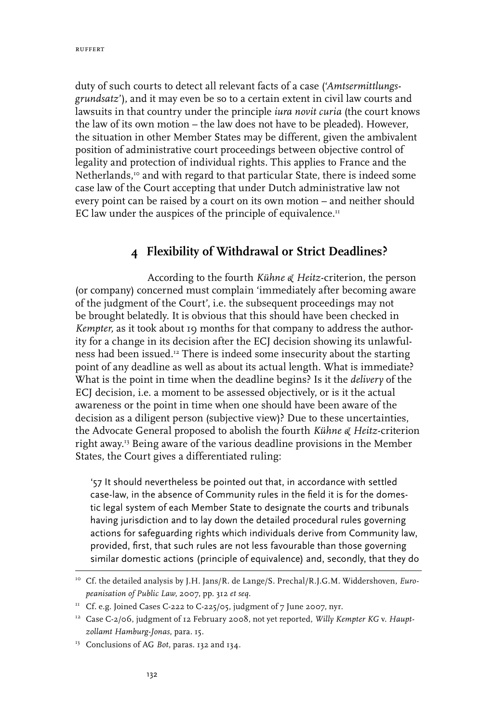duty of such courts to detect all relevant facts of a case ('*Amtsermittlungsgrundsatz*'), and it may even be so to a certain extent in civil law courts and lawsuits in that country under the principle *iura novit curia* (the court knows the law of its own motion – the law does not have to be pleaded). However, the situation in other Member States may be different, given the ambivalent position of administrative court proceedings between objective control of legality and protection of individual rights. This applies to France and the Netherlands,<sup>10</sup> and with regard to that particular State, there is indeed some case law of the Court accepting that under Dutch administrative law not every point can be raised by a court on its own motion – and neither should EC law under the auspices of the principle of equivalence. $I<sup>II</sup>$ 

# **4 Flexibility of Withdrawal or Strict Deadlines?**

According to the fourth *Kühne & Heitz-*criterion, the person (or company) concerned must complain 'immediately after becoming aware of the judgment of the Court', i.e. the subsequent proceedings may not be brought belatedly. It is obvious that this should have been checked in *Kempter,* as it took about 19 months for that company to address the authority for a change in its decision after the ECJ decision showing its unlawfulness had been issued.12 There is indeed some insecurity about the starting point of any deadline as well as about its actual length. What is immediate? What is the point in time when the deadline begins? Is it the *delivery* of the ECJ decision, i.e. a moment to be assessed objectively, or is it the actual awareness or the point in time when one should have been aware of the decision as a diligent person (subjective view)? Due to these uncertainties, the Advocate General proposed to abolish the fourth *Kühne & Heitz-*criterion right away.13 Being aware of the various deadline provisions in the Member States, the Court gives a differentiated ruling:

'57 It should nevertheless be pointed out that, in accordance with settled case-law, in the absence of Community rules in the field it is for the domestic legal system of each Member State to designate the courts and tribunals having jurisdiction and to lay down the detailed procedural rules governing actions for safeguarding rights which individuals derive from Community law, provided, first, that such rules are not less favourable than those governing similar domestic actions (principle of equivalence) and, secondly, that they do

<sup>10</sup> Cf. the detailed analysis by J.H. Jans/R. de Lange/S. Prechal/R.J.G.M. Widdershoven, *Europeanisation of Public Law*, 2007, pp. 312 *et seq.*

 $11$  Cf. e.g. Joined Cases C-222 to C-225/05, judgment of 7 June 2007, nyr.

<sup>&</sup>lt;sup>12</sup> Case C-2/06, judgment of 12 February 2008, not yet reported, *Willy Kempter KG* v. Haupt*zollamt Hamburg-Jonas*, para. 15.

<sup>&</sup>lt;sup>13</sup> Conclusions of AG *Bot*, paras. 132 and 134.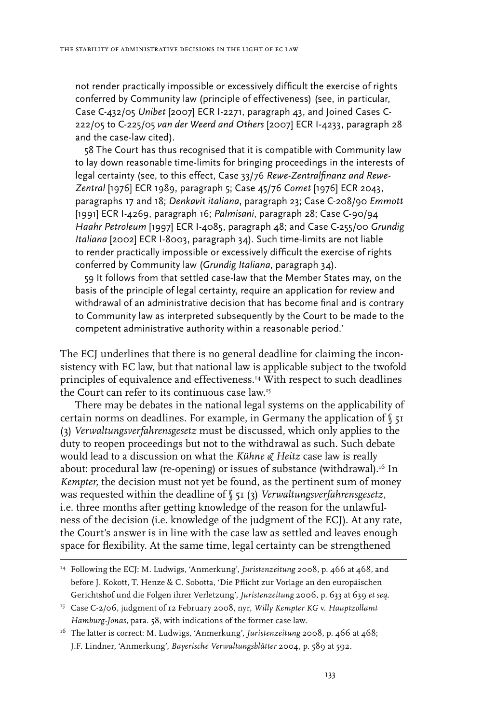not render practically impossible or excessively difficult the exercise of rights conferred by Community law (principle of effectiveness) (see, in particular, Case C-432/05 *Unibet* [2007] ECR I-2271, paragraph 43, and Joined Cases C-222/05 to C-225/05 *van der Weerd and Others* [2007] ECR I-4233, paragraph 28 and the case-law cited).

58 The Court has thus recognised that it is compatible with Community law to lay down reasonable time-limits for bringing proceedings in the interests of legal certainty (see, to this effect, Case 33/76 *Rewe-Zentralfinanz and Rewe-Zentral* [1976] ECR 1989, paragraph 5; Case 45/76 *Comet* [1976] ECR 2043, paragraphs 17 and 18; *Denkavit italiana*, paragraph 23; Case C-208/90 *Emmott* [1991] ECR I-4269, paragraph 16; *Palmisani*, paragraph 28; Case C-90/94 *Haahr Petroleum* [1997] ECR I-4085, paragraph 48; and Case C-255/00 *Grundig Italiana* [2002] ECR I-8003, paragraph 34). Such time-limits are not liable to render practically impossible or excessively difficult the exercise of rights conferred by Community law (*Grundig Italiana*, paragraph 34).

59 It follows from that settled case-law that the Member States may, on the basis of the principle of legal certainty, require an application for review and withdrawal of an administrative decision that has become final and is contrary to Community law as interpreted subsequently by the Court to be made to the competent administrative authority within a reasonable period.'

The ECJ underlines that there is no general deadline for claiming the inconsistency with EC law, but that national law is applicable subject to the twofold principles of equivalence and effectiveness.14 With respect to such deadlines the Court can refer to its continuous case law.15

There may be debates in the national legal systems on the applicability of certain norms on deadlines. For example, in Germany the application of  $\int$  51 (3) *Verwaltungsverfahrensgesetz* must be discussed, which only applies to the duty to reopen proceedings but not to the withdrawal as such. Such debate would lead to a discussion on what the *Kühne & Heitz* case law is really about: procedural law (re-opening) or issues of substance (withdrawal).<sup>16</sup> In *Kempter,* the decision must not yet be found, as the pertinent sum of money was requested within the deadline of § 51 (3) *Verwaltungsverfahrensgesetz,*  i.e. three months after getting knowledge of the reason for the unlawfulness of the decision (i.e. knowledge of the judgment of the ECJ). At any rate, the Court's answer is in line with the case law as settled and leaves enough space for flexibility. At the same time, legal certainty can be strengthened

<sup>14</sup> Following the ECJ: M. Ludwigs, 'Anmerkung', *Juristenzeitung* 2008, p. 466 at 468, and before J. Kokott, T. Henze & C. Sobotta, 'Die Pflicht zur Vorlage an den europäischen Gerichtshof und die Folgen ihrer Verletzung', *Juristenzeitung* 2006, p. 633 at 639 *et seq.*

<sup>15</sup> Case C-2/06, judgment of 12 February 2008, nyr, *Willy Kempter KG* v. *Hauptzollamt Hamburg-Jonas,* para. 58, with indications of the former case law.

<sup>16</sup> The latter is correct: M. Ludwigs*,* 'Anmerkung', *Juristenzeitung* 2008, p. 466 at 468; J.F. Lindner*,* 'Anmerkung', *Bayerische Verwaltungsblätter* 2004, p. 589 at 592.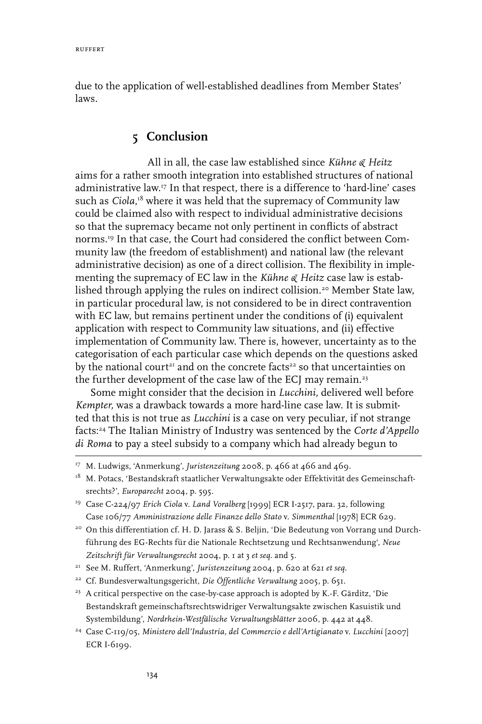due to the application of well-established deadlines from Member States' laws.

# **5 Conclusion**

All in all, the case law established since *Kühne & Heitz*  aims for a rather smooth integration into established structures of national administrative law.17 In that respect, there is a difference to 'hard-line' cases such as *Ciola*,<sup>18</sup> where it was held that the supremacy of Community law could be claimed also with respect to individual administrative decisions so that the supremacy became not only pertinent in conflicts of abstract norms.19 In that case, the Court had considered the conflict between Community law (the freedom of establishment) and national law (the relevant administrative decision) as one of a direct collision. The flexibility in implementing the supremacy of EC law in the *Kühne & Heitz* case law is established through applying the rules on indirect collision.<sup>20</sup> Member State law, in particular procedural law, is not considered to be in direct contravention with EC law, but remains pertinent under the conditions of (i) equivalent application with respect to Community law situations, and (ii) effective implementation of Community law. There is, however, uncertainty as to the categorisation of each particular case which depends on the questions asked by the national court $^{\scriptscriptstyle 21}$  and on the concrete facts $^{\scriptscriptstyle 22}$  so that uncertainties on the further development of the case law of the ECJ may remain.<sup>23</sup>

Some might consider that the decision in *Lucchini,* delivered well before *Kempter,* was a drawback towards a more hard-line case law. It is submitted that this is not true as *Lucchini* is a case on very peculiar, if not strange facts:24 The Italian Ministry of Industry was sentenced by the *Corte d'Appello di Roma* to pay a steel subsidy to a company which had already begun to

- <sup>20</sup> On this differentiation cf. H. D. Jarass & S. Beljin, 'Die Bedeutung von Vorrang und Durchführung des EG-Rechts für die Nationale Rechtsetzung und Rechtsanwendung', *Neue Zeitschrift für Verwaltungsrecht* 2004, p. 1 at 3 *et seq.* and 5.
- 21 See M. Ruffert, 'Anmerkung', *Juristenzeitung* 2004, p. 620 at 621 *et seq.*
- 22 Cf. Bundesverwaltungsgericht, *Die Öffentliche Verwaltung* 2005, p. 651.

24 Case C-119/05, *Ministero dell'Industria, del Commercio e dell'Artigianato* v. *Lucchini* [2007] ECR I-6199.

<sup>&</sup>lt;sup>17</sup> M. Ludwigs, 'Anmerkung', *Juristenzeitung* 2008, p. 466 at 466 and 469.

<sup>&</sup>lt;sup>18</sup> M. Potacs, 'Bestandskraft staatlicher Verwaltungsakte oder Effektivität des Gemeinschaftsrechts?', *Europarecht* 2004, p. 595.

<sup>19</sup> Case C-224/97 *Erich Ciola* v. *Land Voralberg* [1999] ECR I-2517, para. 32, following Case 106/77 *Amministrazione delle Finanze dello Stato* v. *Simmenthal* [1978] ECR 629.

 $23$  A critical perspective on the case-by-case approach is adopted by K.-F. Gärditz, 'Die Bestandskraft gemeinschaftsrechtswidriger Verwaltungsakte zwischen Kasuistik und Systembildung', *Nordrhein-Westfälische Verwaltungsblätter* 2006, p. 442 at 448.